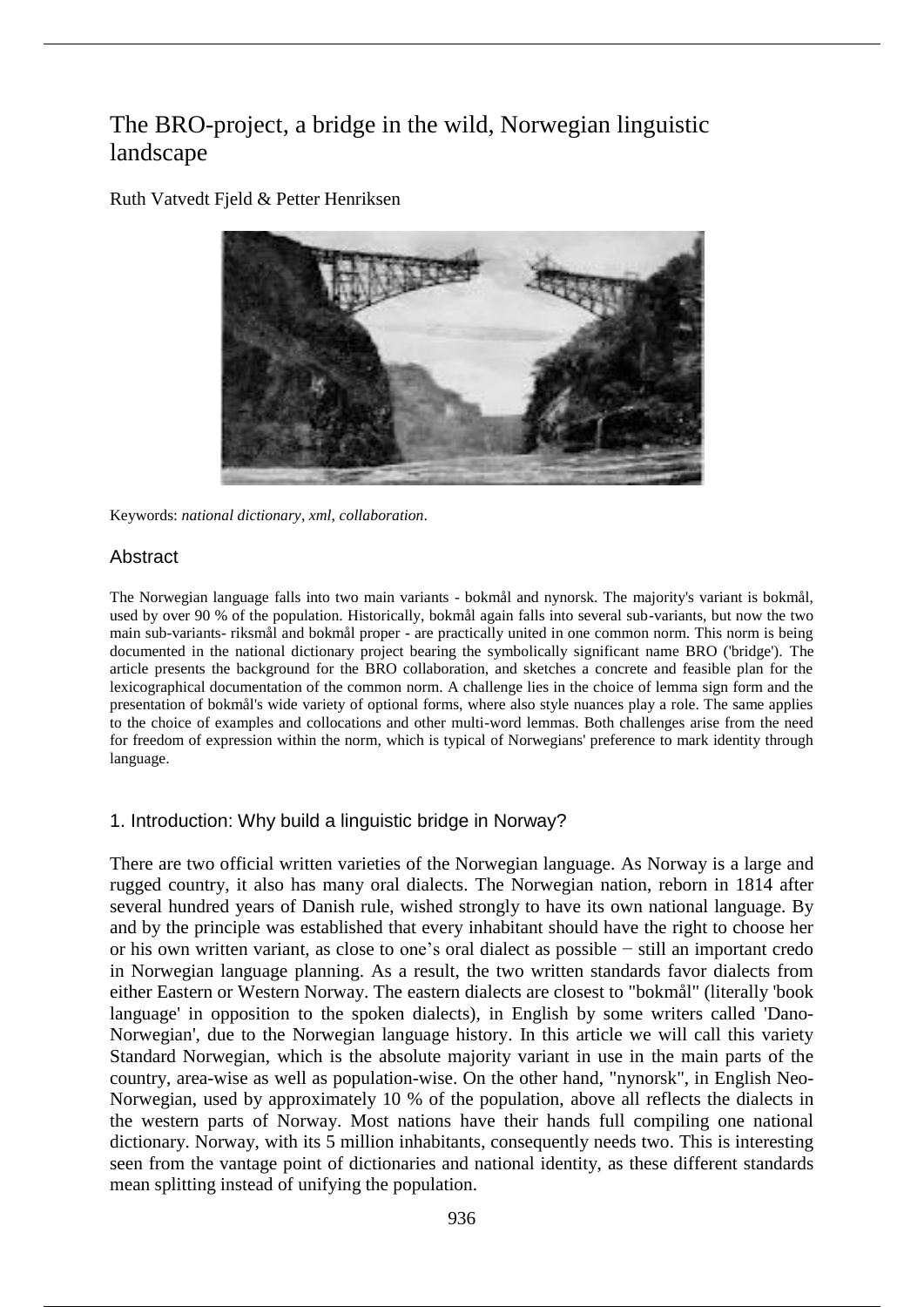# The BRO-project, a bridge in the wild, Norwegian linguistic landscape



Ruth Vatvedt Fjeld & Petter Henriksen

Keywords: *national dictionary*, *xml*, *collaboration*.

# Abstract

The Norwegian language falls into two main variants - bokmål and nynorsk. The majority's variant is bokmål, used by over 90 % of the population. Historically, bokmål again falls into several sub-variants, but now the two main sub-variants- riksmål and bokmål proper - are practically united in one common norm. This norm is being documented in the national dictionary project bearing the symbolically significant name BRO ('bridge'). The article presents the background for the BRO collaboration, and sketches a concrete and feasible plan for the lexicographical documentation of the common norm. A challenge lies in the choice of lemma sign form and the presentation of bokmål's wide variety of optional forms, where also style nuances play a role. The same applies to the choice of examples and collocations and other multi-word lemmas. Both challenges arise from the need for freedom of expression within the norm, which is typical of Norwegians' preference to mark identity through language.

# 1. Introduction: Why build a linguistic bridge in Norway?

There are two official written varieties of the Norwegian language. As Norway is a large and rugged country, it also has many oral dialects. The Norwegian nation, reborn in 1814 after several hundred years of Danish rule, wished strongly to have its own national language. By and by the principle was established that every inhabitant should have the right to choose her or his own written variant, as close to one's oral dialect as possible − still an important credo in Norwegian language planning. As a result, the two written standards favor dialects from either Eastern or Western Norway. The eastern dialects are closest to "bokmål" (literally 'book language' in opposition to the spoken dialects), in English by some writers called 'Dano-Norwegian', due to the Norwegian language history. In this article we will call this variety Standard Norwegian, which is the absolute majority variant in use in the main parts of the country, area-wise as well as population-wise. On the other hand, "nynorsk", in English Neo-Norwegian, used by approximately 10 % of the population, above all reflects the dialects in the western parts of Norway. Most nations have their hands full compiling one national dictionary. Norway, with its 5 million inhabitants, consequently needs two. This is interesting seen from the vantage point of dictionaries and national identity, as these different standards mean splitting instead of unifying the population.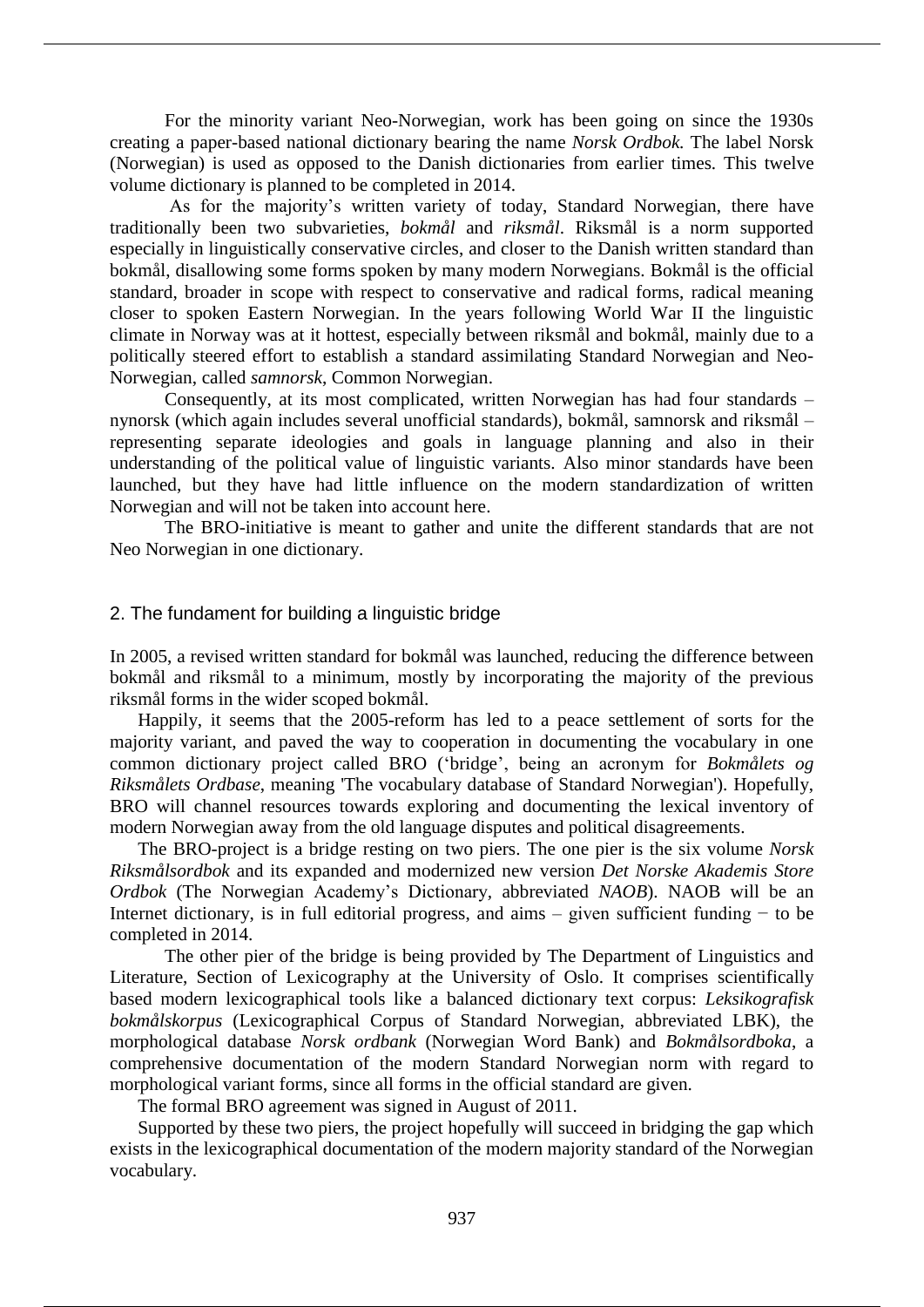For the minority variant Neo-Norwegian, work has been going on since the 1930s creating a paper-based national dictionary bearing the name *Norsk Ordbok.* The label Norsk (Norwegian) is used as opposed to the Danish dictionaries from earlier times*.* This twelve volume dictionary is planned to be completed in 2014.

As for the majority's written variety of today, Standard Norwegian, there have traditionally been two subvarieties, *bokmål* and *riksmål*. Riksmål is a norm supported especially in linguistically conservative circles, and closer to the Danish written standard than bokmål, disallowing some forms spoken by many modern Norwegians. Bokmål is the official standard, broader in scope with respect to conservative and radical forms, radical meaning closer to spoken Eastern Norwegian. In the years following World War II the linguistic climate in Norway was at it hottest, especially between riksmål and bokmål, mainly due to a politically steered effort to establish a standard assimilating Standard Norwegian and Neo-Norwegian, called *samnorsk*, Common Norwegian.

Consequently, at its most complicated, written Norwegian has had four standards – nynorsk (which again includes several unofficial standards), bokmål, samnorsk and riksmål – representing separate ideologies and goals in language planning and also in their understanding of the political value of linguistic variants. Also minor standards have been launched, but they have had little influence on the modern standardization of written Norwegian and will not be taken into account here.

The BRO-initiative is meant to gather and unite the different standards that are not Neo Norwegian in one dictionary.

## 2. The fundament for building a linguistic bridge

In 2005, a revised written standard for bokmål was launched, reducing the difference between bokmål and riksmål to a minimum, mostly by incorporating the majority of the previous riksmål forms in the wider scoped bokmål.

Happily, it seems that the 2005-reform has led to a peace settlement of sorts for the majority variant, and paved the way to cooperation in documenting the vocabulary in one common dictionary project called BRO ('bridge', being an acronym for *Bokmålets og Riksmålets Ordbase*, meaning 'The vocabulary database of Standard Norwegian'). Hopefully, BRO will channel resources towards exploring and documenting the lexical inventory of modern Norwegian away from the old language disputes and political disagreements.

The BRO-project is a bridge resting on two piers. The one pier is the six volume *Norsk Riksmålsordbok* and its expanded and modernized new version *Det Norske Akademis Store Ordbok* (The Norwegian Academy's Dictionary*,* abbreviated *NAOB*). NAOB will be an Internet dictionary, is in full editorial progress, and aims – given sufficient funding − to be completed in 2014.

The other pier of the bridge is being provided by The Department of Linguistics and Literature, Section of Lexicography at the University of Oslo. It comprises scientifically based modern lexicographical tools like a balanced dictionary text corpus: *Leksikografisk bokmålskorpus* (Lexicographical Corpus of Standard Norwegian, abbreviated LBK), the morphological database *Norsk ordbank* (Norwegian Word Bank) and *Bokmålsordboka*, a comprehensive documentation of the modern Standard Norwegian norm with regard to morphological variant forms, since all forms in the official standard are given.

The formal BRO agreement was signed in August of 2011.

Supported by these two piers, the project hopefully will succeed in bridging the gap which exists in the lexicographical documentation of the modern majority standard of the Norwegian vocabulary.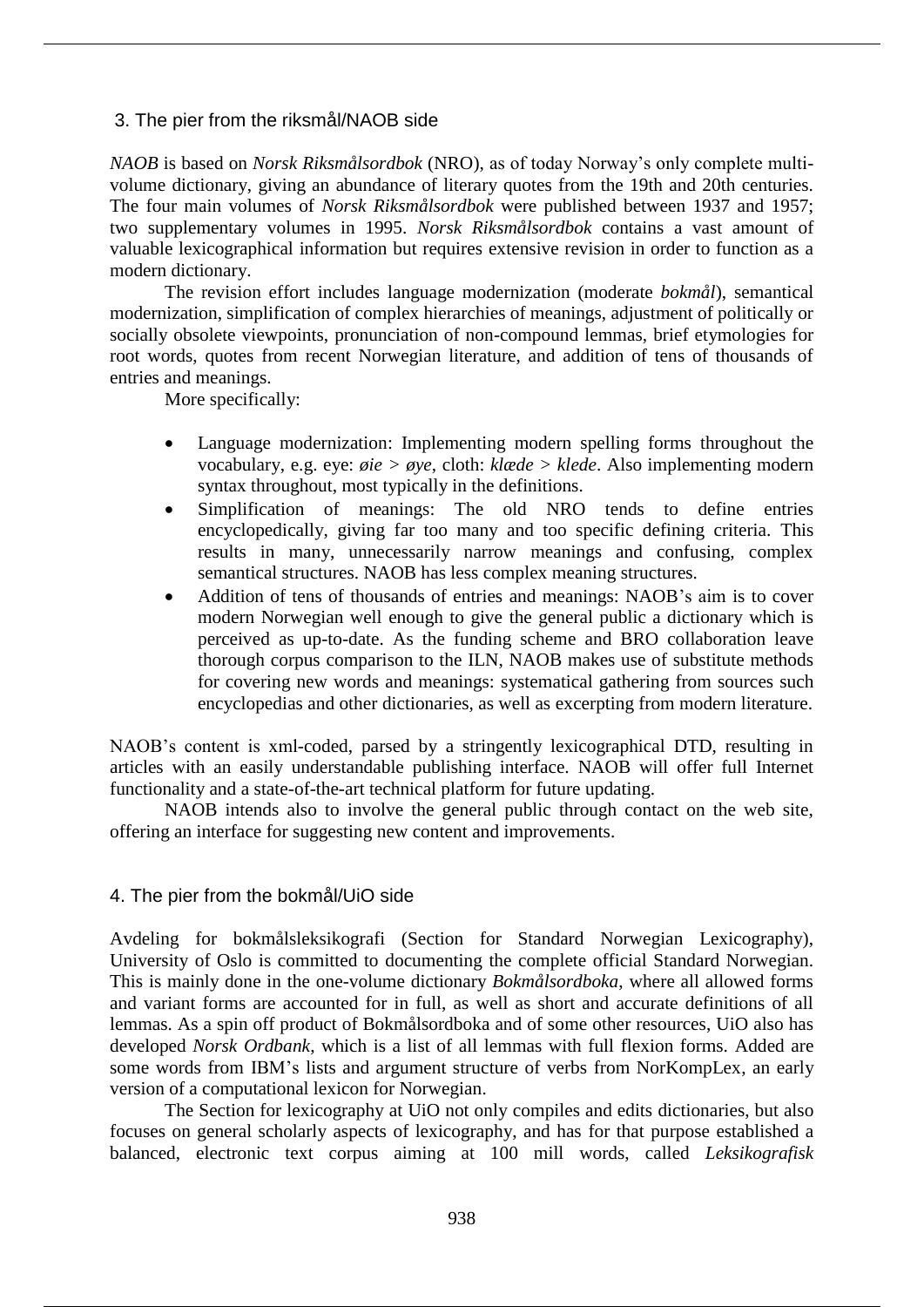## 3. The pier from the riksmål/NAOB side

*NAOB* is based on *Norsk Riksmålsordbok* (NRO), as of today Norway's only complete multivolume dictionary, giving an abundance of literary quotes from the 19th and 20th centuries. The four main volumes of *Norsk Riksmålsordbok* were published between 1937 and 1957; two supplementary volumes in 1995. *Norsk Riksmålsordbok* contains a vast amount of valuable lexicographical information but requires extensive revision in order to function as a modern dictionary.

The revision effort includes language modernization (moderate *bokmål*), semantical modernization, simplification of complex hierarchies of meanings, adjustment of politically or socially obsolete viewpoints, pronunciation of non-compound lemmas, brief etymologies for root words, quotes from recent Norwegian literature, and addition of tens of thousands of entries and meanings.

More specifically:

- Language modernization: Implementing modern spelling forms throughout the vocabulary, e.g. eye: *øie > øye*, cloth: *klæde > klede*. Also implementing modern syntax throughout, most typically in the definitions.
- Simplification of meanings: The old NRO tends to define entries encyclopedically, giving far too many and too specific defining criteria. This results in many, unnecessarily narrow meanings and confusing, complex semantical structures. NAOB has less complex meaning structures.
- Addition of tens of thousands of entries and meanings: NAOB's aim is to cover modern Norwegian well enough to give the general public a dictionary which is perceived as up-to-date. As the funding scheme and BRO collaboration leave thorough corpus comparison to the ILN, NAOB makes use of substitute methods for covering new words and meanings: systematical gathering from sources such encyclopedias and other dictionaries, as well as excerpting from modern literature.

NAOB's content is xml-coded, parsed by a stringently lexicographical DTD, resulting in articles with an easily understandable publishing interface. NAOB will offer full Internet functionality and a state-of-the-art technical platform for future updating.

NAOB intends also to involve the general public through contact on the web site, offering an interface for suggesting new content and improvements.

# 4. The pier from the bokmål/UiO side

Avdeling for bokmålsleksikografi (Section for Standard Norwegian Lexicography), University of Oslo is committed to documenting the complete official Standard Norwegian. This is mainly done in the one-volume dictionary *Bokmålsordboka*, where all allowed forms and variant forms are accounted for in full, as well as short and accurate definitions of all lemmas. As a spin off product of Bokmålsordboka and of some other resources, UiO also has developed *Norsk Ordbank*, which is a list of all lemmas with full flexion forms. Added are some words from IBM's lists and argument structure of verbs from NorKompLex, an early version of a computational lexicon for Norwegian.

The Section for lexicography at UiO not only compiles and edits dictionaries, but also focuses on general scholarly aspects of lexicography, and has for that purpose established a balanced, electronic text corpus aiming at 100 mill words, called *Leksikografisk*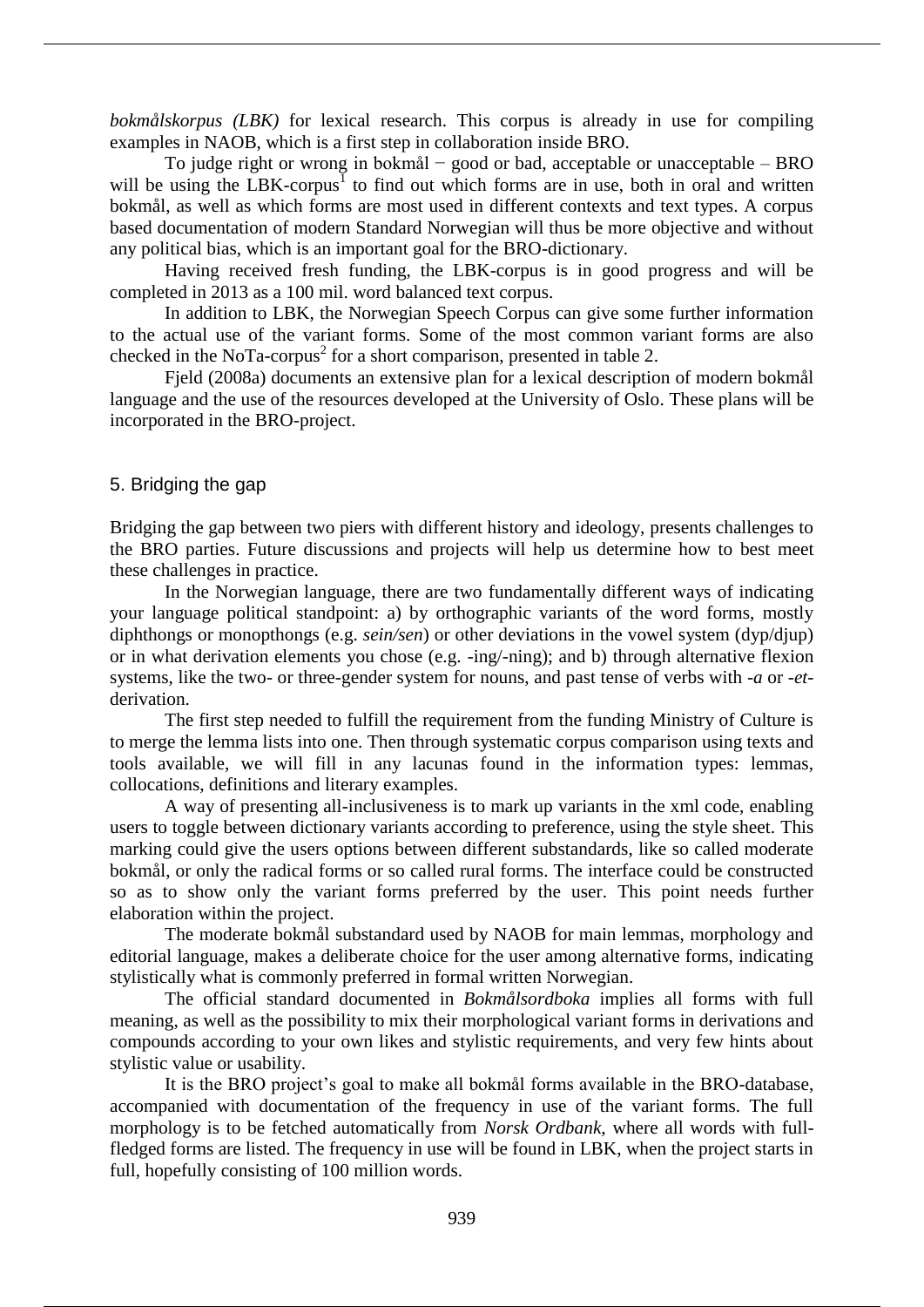*bokmålskorpus (LBK)* for lexical research. This corpus is already in use for compiling examples in NAOB, which is a first step in collaboration inside BRO.

To judge right or wrong in bokmål − good or bad, acceptable or unacceptable – BRO will be using the LBK-corpus<sup>1</sup> to find out which forms are in use, both in oral and written bokmål, as well as which forms are most used in different contexts and text types. A corpus based documentation of modern Standard Norwegian will thus be more objective and without any political bias, which is an important goal for the BRO-dictionary.

Having received fresh funding, the LBK-corpus is in good progress and will be completed in 2013 as a 100 mil. word balanced text corpus.

In addition to LBK, the Norwegian Speech Corpus can give some further information to the actual use of the variant forms. Some of the most common variant forms are also checked in the NoTa-corpus<sup>2</sup> for a short comparison, presented in table 2.

Fjeld (2008a) documents an extensive plan for a lexical description of modern bokmål language and the use of the resources developed at the University of Oslo. These plans will be incorporated in the BRO-project.

## 5. Bridging the gap

Bridging the gap between two piers with different history and ideology, presents challenges to the BRO parties. Future discussions and projects will help us determine how to best meet these challenges in practice.

In the Norwegian language, there are two fundamentally different ways of indicating your language political standpoint: a) by orthographic variants of the word forms, mostly diphthongs or monopthongs (e.g. *sein/sen*) or other deviations in the vowel system (dyp/djup) or in what derivation elements you chose (e.g. -ing/-ning); and b) through alternative flexion systems, like the two- or three-gender system for nouns, and past tense of verbs with *-a* or -*et*derivation.

The first step needed to fulfill the requirement from the funding Ministry of Culture is to merge the lemma lists into one. Then through systematic corpus comparison using texts and tools available, we will fill in any lacunas found in the information types: lemmas, collocations, definitions and literary examples.

A way of presenting all-inclusiveness is to mark up variants in the xml code, enabling users to toggle between dictionary variants according to preference, using the style sheet. This marking could give the users options between different substandards, like so called moderate bokmål, or only the radical forms or so called rural forms. The interface could be constructed so as to show only the variant forms preferred by the user. This point needs further elaboration within the project.

The moderate bokmål substandard used by NAOB for main lemmas, morphology and editorial language, makes a deliberate choice for the user among alternative forms, indicating stylistically what is commonly preferred in formal written Norwegian.

The official standard documented in *Bokmålsordboka* implies all forms with full meaning, as well as the possibility to mix their morphological variant forms in derivations and compounds according to your own likes and stylistic requirements, and very few hints about stylistic value or usability.

It is the BRO project's goal to make all bokmål forms available in the BRO-database, accompanied with documentation of the frequency in use of the variant forms. The full morphology is to be fetched automatically from *Norsk Ordbank,* where all words with fullfledged forms are listed. The frequency in use will be found in LBK, when the project starts in full, hopefully consisting of 100 million words.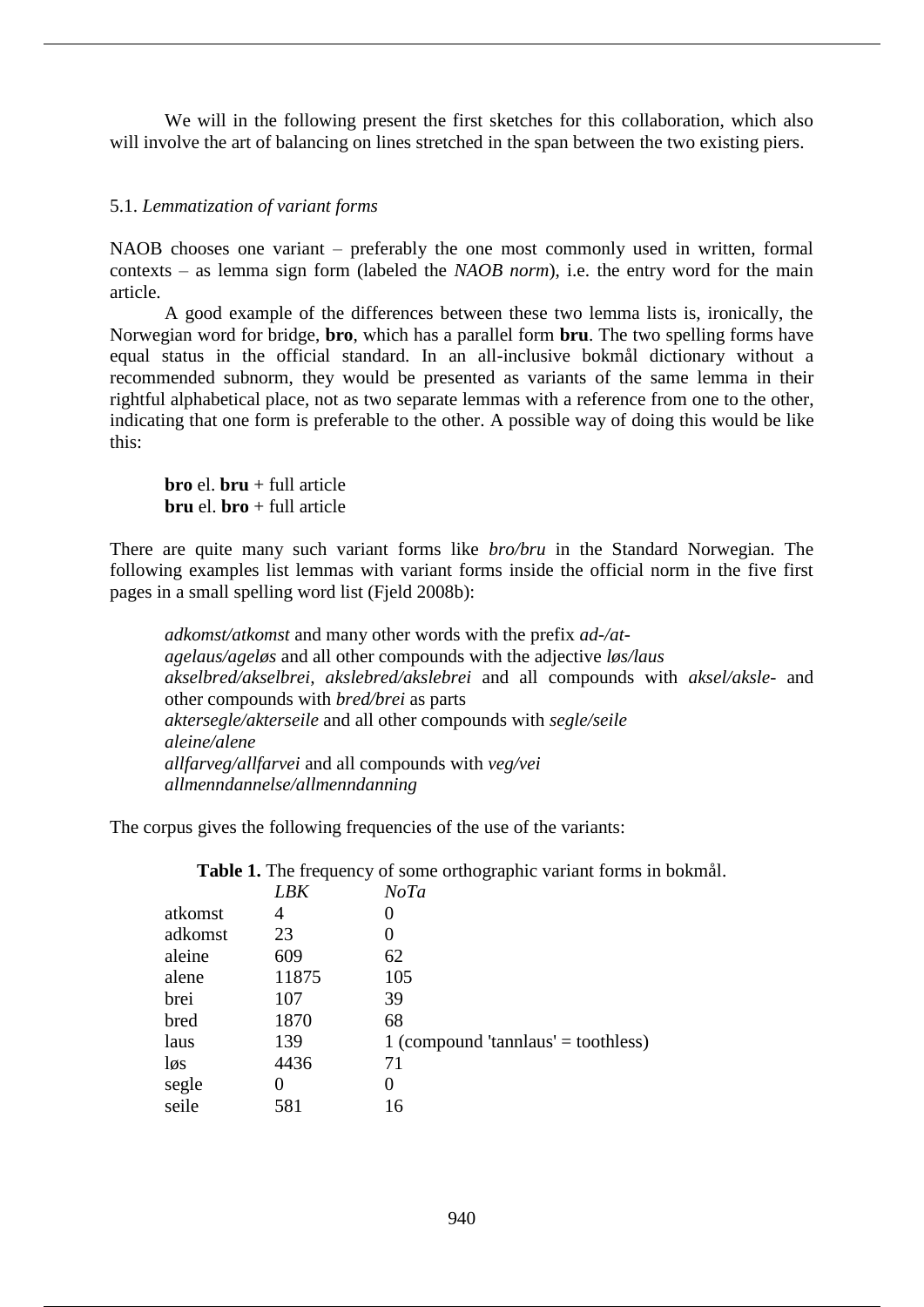We will in the following present the first sketches for this collaboration, which also will involve the art of balancing on lines stretched in the span between the two existing piers.

## 5.1. *Lemmatization of variant forms*

NAOB chooses one variant – preferably the one most commonly used in written, formal contexts – as lemma sign form (labeled the *NAOB norm*), i.e. the entry word for the main article.

A good example of the differences between these two lemma lists is, ironically, the Norwegian word for bridge, **bro**, which has a parallel form **bru**. The two spelling forms have equal status in the official standard. In an all-inclusive bokmål dictionary without a recommended subnorm, they would be presented as variants of the same lemma in their rightful alphabetical place, not as two separate lemmas with a reference from one to the other, indicating that one form is preferable to the other. A possible way of doing this would be like this:

**bro** el. **bru** + full article **bru** el. **bro** + full article

There are quite many such variant forms like *bro/bru* in the Standard Norwegian. The following examples list lemmas with variant forms inside the official norm in the five first pages in a small spelling word list (Fjeld 2008b):

*adkomst/atkomst* and many other words with the prefix *ad-/atagelaus/ageløs* and all other compounds with the adjective *løs/laus akselbred/akselbrei, akslebred/akslebrei* and all compounds with *aksel/aksle*- and other compounds with *bred/brei* as parts *aktersegle/akterseile* and all other compounds with *segle/seile aleine/alene allfarveg/allfarvei* and all compounds with *veg/vei allmenndannelse/allmenndanning*

The corpus gives the following frequencies of the use of the variants:

**Table 1.** The frequency of some orthographic variant forms in bokmål.

|         | LBK   | NoTa                                |
|---------|-------|-------------------------------------|
| atkomst | 4     |                                     |
| adkomst | 23    |                                     |
| aleine  | 609   | 62                                  |
| alene   | 11875 | 105                                 |
| brei    | 107   | 39                                  |
| bred    | 1870  | 68                                  |
| laus    | 139   | 1 (compound 'tannlaus' = toothless) |
| løs     | 4436  | 71                                  |
| segle   |       | 0                                   |
| seile   | 581   | 16                                  |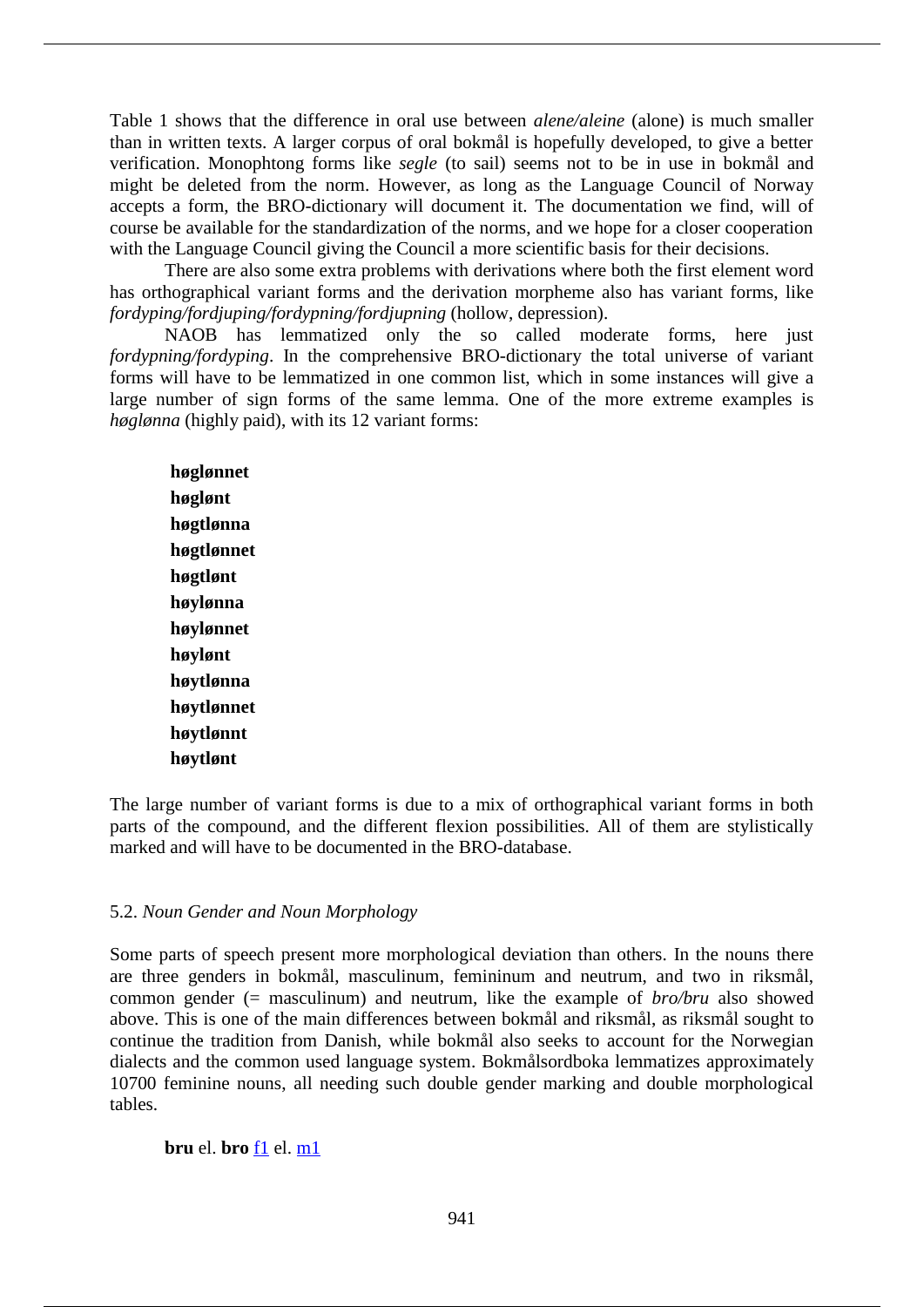Table 1 shows that the difference in oral use between *alene/aleine* (alone) is much smaller than in written texts. A larger corpus of oral bokmål is hopefully developed, to give a better verification. Monophtong forms like *segle* (to sail) seems not to be in use in bokmål and might be deleted from the norm. However, as long as the Language Council of Norway accepts a form, the BRO-dictionary will document it. The documentation we find, will of course be available for the standardization of the norms, and we hope for a closer cooperation with the Language Council giving the Council a more scientific basis for their decisions.

There are also some extra problems with derivations where both the first element word has orthographical variant forms and the derivation morpheme also has variant forms, like *fordyping/fordjuping/fordypning/fordjupning* (hollow, depression).

NAOB has lemmatized only the so called moderate forms, here just *fordypning/fordyping*. In the comprehensive BRO-dictionary the total universe of variant forms will have to be lemmatized in one common list, which in some instances will give a large number of sign forms of the same lemma. One of the more extreme examples is *høglønna* (highly paid), with its 12 variant forms:

**høglønnet høglønt høgtlønna høgtlønnet høgtlønt høylønna høylønnet høylønt høytlønna høytlønnet høytlønnt høytlønt**

The large number of variant forms is due to a mix of orthographical variant forms in both parts of the compound, and the different flexion possibilities. All of them are stylistically marked and will have to be documented in the BRO-database.

#### 5.2. *Noun Gender and Noun Morphology*

Some parts of speech present more morphological deviation than others. In the nouns there are three genders in bokmål, masculinum, femininum and neutrum, and two in riksmål, common gender (= masculinum) and neutrum, like the example of *bro/bru* also showed above. This is one of the main differences between bokmål and riksmål, as riksmål sought to continue the tradition from Danish, while bokmål also seeks to account for the Norwegian dialects and the common used language system. Bokmålsordboka lemmatizes approximately 10700 feminine nouns, all needing such double gender marking and double morphological tables.

**bru** el. **bro** f1 el. m1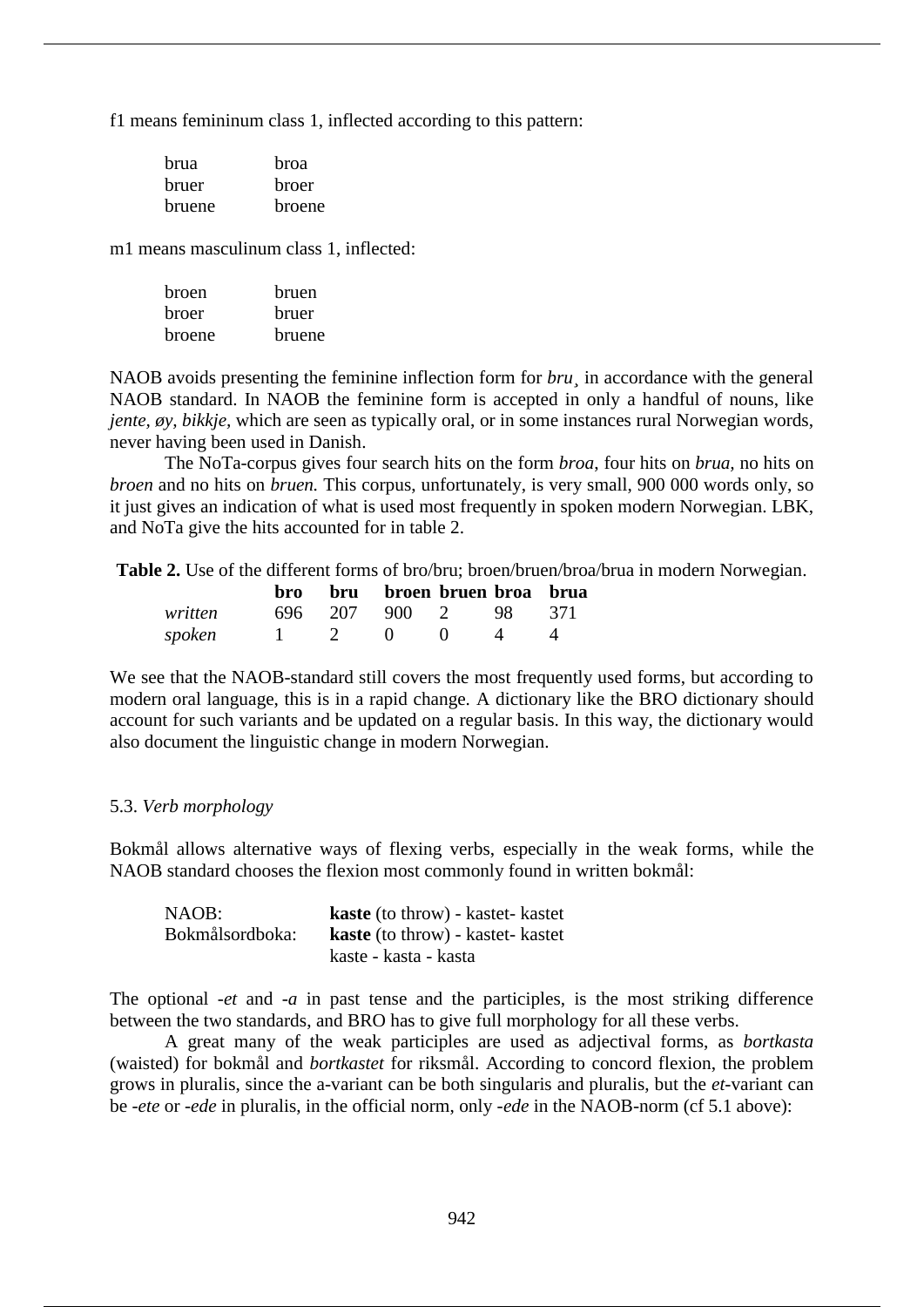f1 means femininum class 1, inflected according to this pattern:

| hrua   | hroa   |
|--------|--------|
| bruer  | broer  |
| bruene | broene |

m1 means masculinum class 1, inflected:

| broen  | bruen  |
|--------|--------|
| broer  | bruer  |
| broene | bruene |

NAOB avoids presenting the feminine inflection form for *bru¸* in accordance with the general NAOB standard. In NAOB the feminine form is accepted in only a handful of nouns, like *jente, øy, bikkje, which are seen as typically oral, or in some instances rural Norwegian words,* never having been used in Danish.

The NoTa-corpus gives four search hits on the form *broa*, four hits on *brua,* no hits on *broen* and no hits on *bruen.* This corpus, unfortunately, is very small, 900 000 words only, so it just gives an indication of what is used most frequently in spoken modern Norwegian. LBK, and NoTa give the hits accounted for in table 2.

**Table 2.** Use of the different forms of bro/bru; broen/bruen/broa/brua in modern Norwegian.

|         |  | bro bru broen bruen broa brua |                |  |
|---------|--|-------------------------------|----------------|--|
| written |  | 696 207 900 2 98 371          |                |  |
| spoken  |  | $1 \t 2 \t 0 \t 0$            | $\overline{4}$ |  |

We see that the NAOB-standard still covers the most frequently used forms, but according to modern oral language, this is in a rapid change. A dictionary like the BRO dictionary should account for such variants and be updated on a regular basis. In this way, the dictionary would also document the linguistic change in modern Norwegian.

#### 5.3. *Verb morphology*

Bokmål allows alternative ways of flexing verbs, especially in the weak forms, while the NAOB standard chooses the flexion most commonly found in written bokmål:

| NAOB:           | <b>kaste</b> (to throw) - kastet- kastet |
|-----------------|------------------------------------------|
| Bokmålsordboka: | <b>kaste</b> (to throw) - kastet- kastet |
|                 | kaste - kasta - kasta                    |

The optional -*et* and -*a* in past tense and the participles, is the most striking difference between the two standards, and BRO has to give full morphology for all these verbs.

A great many of the weak participles are used as adjectival forms, as *bortkasta* (waisted) for bokmål and *bortkastet* for riksmål. According to concord flexion, the problem grows in pluralis, since the a-variant can be both singularis and pluralis, but the *et*-variant can be -*ete* or -*ede* in pluralis, in the official norm, only *-ede* in the NAOB-norm (cf 5.1 above):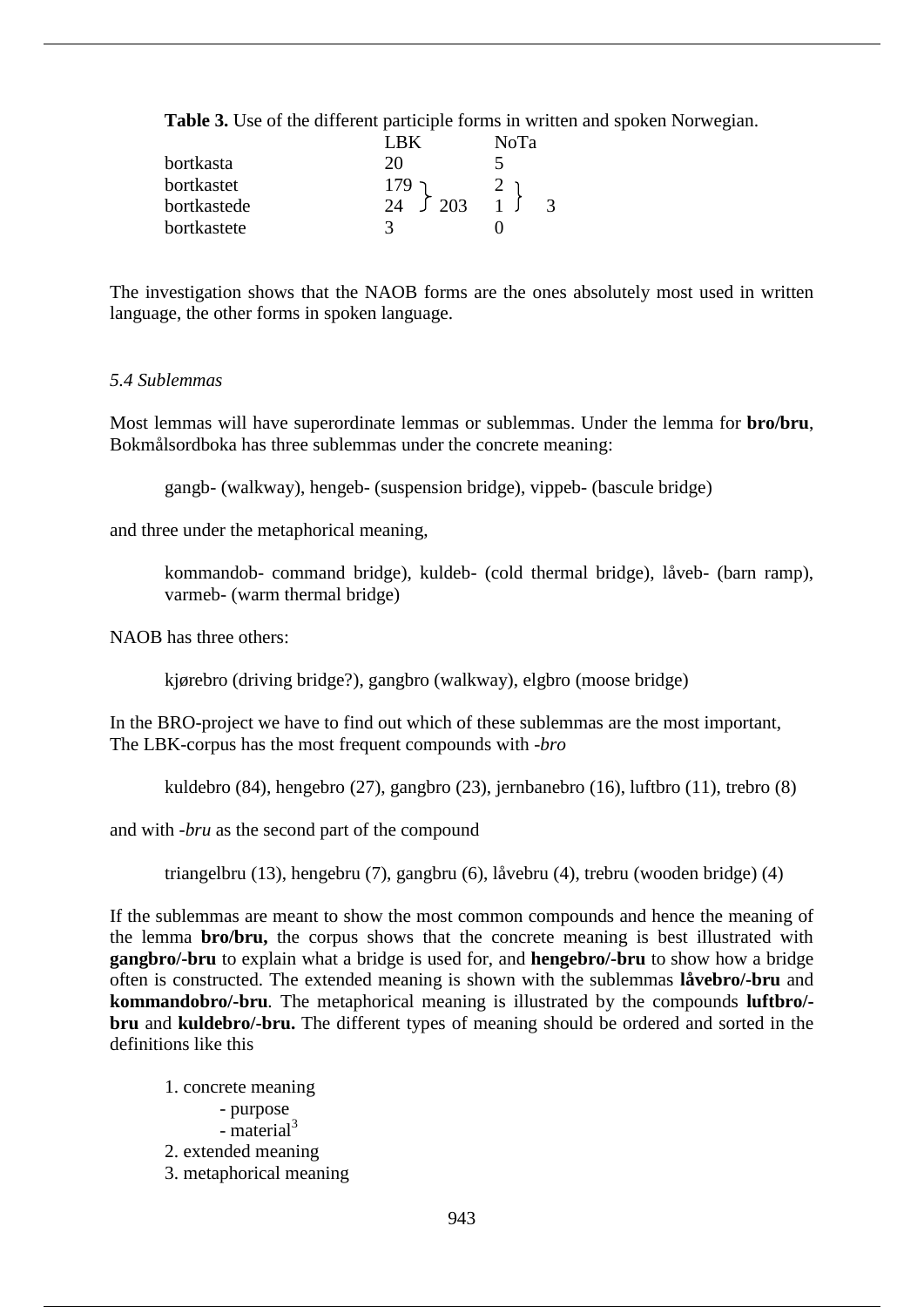**Table 3.** Use of the different participle forms in written and spoken Norwegian.

|             | I RK            | NoTa |  |
|-------------|-----------------|------|--|
| bortkasta   | 20              |      |  |
| bortkastet  | $179 -$         |      |  |
| bortkastede | 24 $\sqrt{203}$ |      |  |
| bortkastete | 3               |      |  |

The investigation shows that the NAOB forms are the ones absolutely most used in written language, the other forms in spoken language.

#### *5.4 Sublemmas*

Most lemmas will have superordinate lemmas or sublemmas. Under the lemma for **bro/bru**, Bokmålsordboka has three sublemmas under the concrete meaning:

gangb- (walkway), hengeb- (suspension bridge), vippeb- (bascule bridge)

and three under the metaphorical meaning,

kommandob- command bridge), kuldeb- (cold thermal bridge), låveb- (barn ramp), varmeb- (warm thermal bridge)

NAOB has three others:

kjørebro (driving bridge?), gangbro (walkway), elgbro (moose bridge)

In the BRO-project we have to find out which of these sublemmas are the most important, The LBK-corpus has the most frequent compounds with -*bro*

kuldebro (84), hengebro (27), gangbro (23), jernbanebro (16), luftbro (11), trebro (8)

and with -*bru* as the second part of the compound

triangelbru (13), hengebru (7), gangbru (6), låvebru (4), trebru (wooden bridge) (4)

If the sublemmas are meant to show the most common compounds and hence the meaning of the lemma **bro/bru,** the corpus shows that the concrete meaning is best illustrated with **gangbro/-bru** to explain what a bridge is used for, and **hengebro/-bru** to show how a bridge often is constructed. The extended meaning is shown with the sublemmas **låvebro/-bru** and **kommandobro/-bru***.* The metaphorical meaning is illustrated by the compounds **luftbro/ bru** and **kuldebro/-bru.** The different types of meaning should be ordered and sorted in the definitions like this

1. concrete meaning - purpose  $-$  material<sup>3</sup> 2. extended meaning 3. metaphorical meaning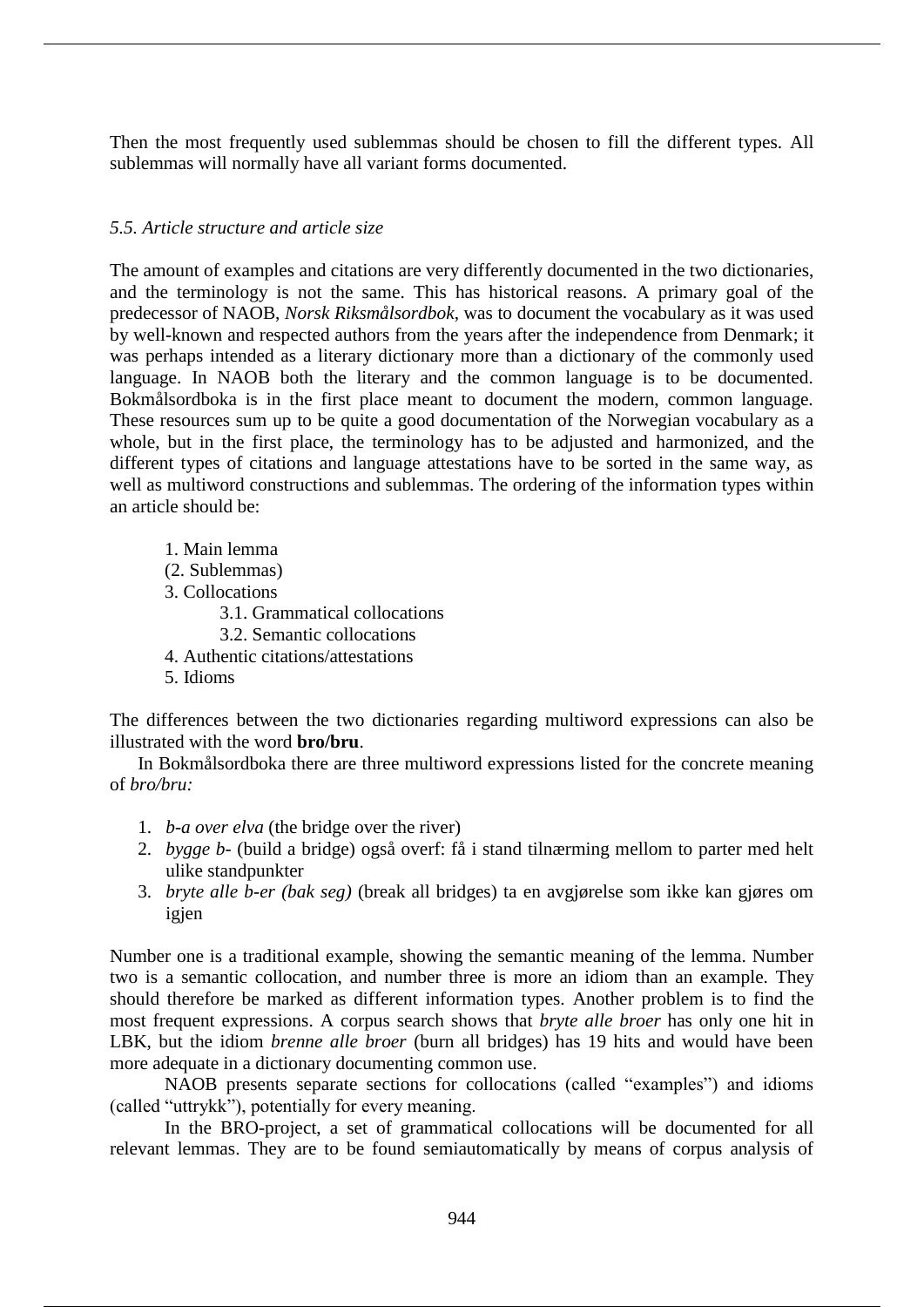Then the most frequently used sublemmas should be chosen to fill the different types. All sublemmas will normally have all variant forms documented.

# *5.5. Article structure and article size*

The amount of examples and citations are very differently documented in the two dictionaries, and the terminology is not the same. This has historical reasons. A primary goal of the predecessor of NAOB, *Norsk Riksmålsordbok*, was to document the vocabulary as it was used by well-known and respected authors from the years after the independence from Denmark; it was perhaps intended as a literary dictionary more than a dictionary of the commonly used language. In NAOB both the literary and the common language is to be documented. Bokmålsordboka is in the first place meant to document the modern, common language. These resources sum up to be quite a good documentation of the Norwegian vocabulary as a whole, but in the first place, the terminology has to be adjusted and harmonized, and the different types of citations and language attestations have to be sorted in the same way, as well as multiword constructions and sublemmas. The ordering of the information types within an article should be:

1. Main lemma (2. Sublemmas) 3. Collocations 3.1. Grammatical collocations 3.2. Semantic collocations 4. Authentic citations/attestations 5. Idioms

The differences between the two dictionaries regarding multiword expressions can also be illustrated with the word **bro/bru**.

In Bokmålsordboka there are three multiword expressions listed for the concrete meaning of *bro/bru:*

- 1. *b-a over elva* (the bridge over the river)
- 2. *bygge b-* (build a bridge) også overf: få i stand tilnærming mellom to parter med helt ulike standpunkter
- 3. *bryte alle b-er (bak seg)* (break all bridges) ta en avgjørelse som ikke kan gjøres om igjen

Number one is a traditional example, showing the semantic meaning of the lemma. Number two is a semantic collocation, and number three is more an idiom than an example. They should therefore be marked as different information types. Another problem is to find the most frequent expressions. A corpus search shows that *bryte alle broer* has only one hit in LBK, but the idiom *brenne alle broer* (burn all bridges) has 19 hits and would have been more adequate in a dictionary documenting common use.

NAOB presents separate sections for collocations (called "examples") and idioms (called "uttrykk"), potentially for every meaning.

In the BRO-project, a set of grammatical collocations will be documented for all relevant lemmas. They are to be found semiautomatically by means of corpus analysis of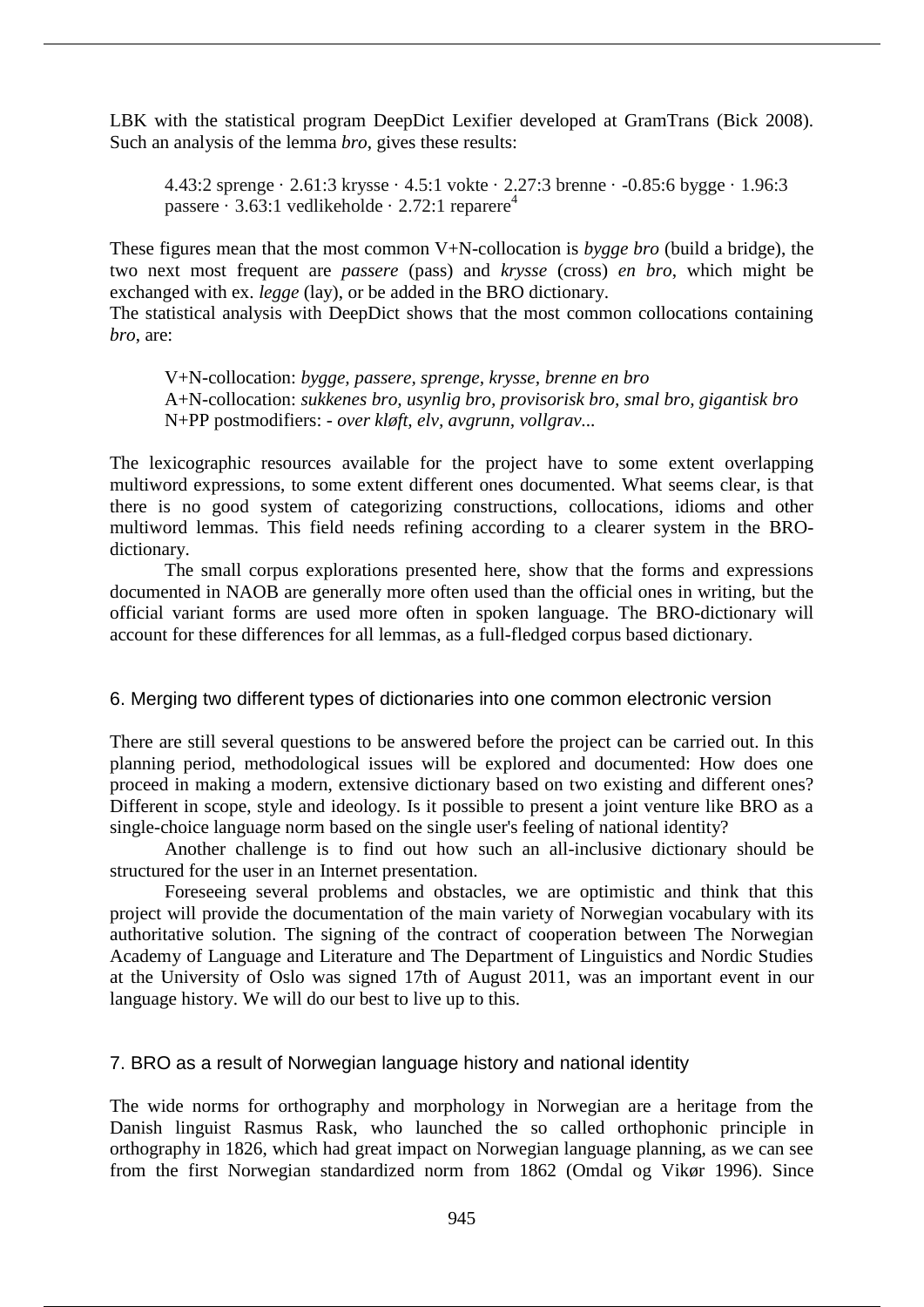LBK with the statistical program DeepDict Lexifier developed at GramTrans (Bick 2008). Such an analysis of the lemma *bro*, gives these results:

4.43:2 sprenge · 2.61:3 krysse · 4.5:1 vokte · 2.27:3 brenne · -0.85:6 bygge · 1.96:3 passere · 3.63:1 vedlikeholde · 2.72:1 reparere<sup>4</sup>

These figures mean that the most common V+N-collocation is *bygge bro* (build a bridge), the two next most frequent are *passere* (pass) and *krysse* (cross) *en bro*, which might be exchanged with ex. *legge* (lay), or be added in the BRO dictionary.

The statistical analysis with DeepDict shows that the most common collocations containing *bro*, are:

V+N-collocation: *bygge, passere, sprenge, krysse, brenne en bro* A+N-collocation: *sukkenes bro, usynlig bro, provisorisk bro, smal bro, gigantisk bro* N+PP postmodifiers: - *over kløft, elv, avgrunn, vollgrav...*

The lexicographic resources available for the project have to some extent overlapping multiword expressions, to some extent different ones documented. What seems clear, is that there is no good system of categorizing constructions, collocations, idioms and other multiword lemmas. This field needs refining according to a clearer system in the BROdictionary.

The small corpus explorations presented here, show that the forms and expressions documented in NAOB are generally more often used than the official ones in writing, but the official variant forms are used more often in spoken language. The BRO-dictionary will account for these differences for all lemmas, as a full-fledged corpus based dictionary.

# 6. Merging two different types of dictionaries into one common electronic version

There are still several questions to be answered before the project can be carried out. In this planning period, methodological issues will be explored and documented: How does one proceed in making a modern, extensive dictionary based on two existing and different ones? Different in scope, style and ideology. Is it possible to present a joint venture like BRO as a single-choice language norm based on the single user's feeling of national identity?

Another challenge is to find out how such an all-inclusive dictionary should be structured for the user in an Internet presentation.

Foreseeing several problems and obstacles, we are optimistic and think that this project will provide the documentation of the main variety of Norwegian vocabulary with its authoritative solution. The signing of the contract of cooperation between The Norwegian Academy of Language and Literature and The Department of Linguistics and Nordic Studies at the University of Oslo was signed 17th of August 2011, was an important event in our language history. We will do our best to live up to this.

# 7. BRO as a result of Norwegian language history and national identity

The wide norms for orthography and morphology in Norwegian are a heritage from the Danish linguist Rasmus Rask, who launched the so called orthophonic principle in orthography in 1826, which had great impact on Norwegian language planning, as we can see from the first Norwegian standardized norm from 1862 (Omdal og Vikør 1996). Since